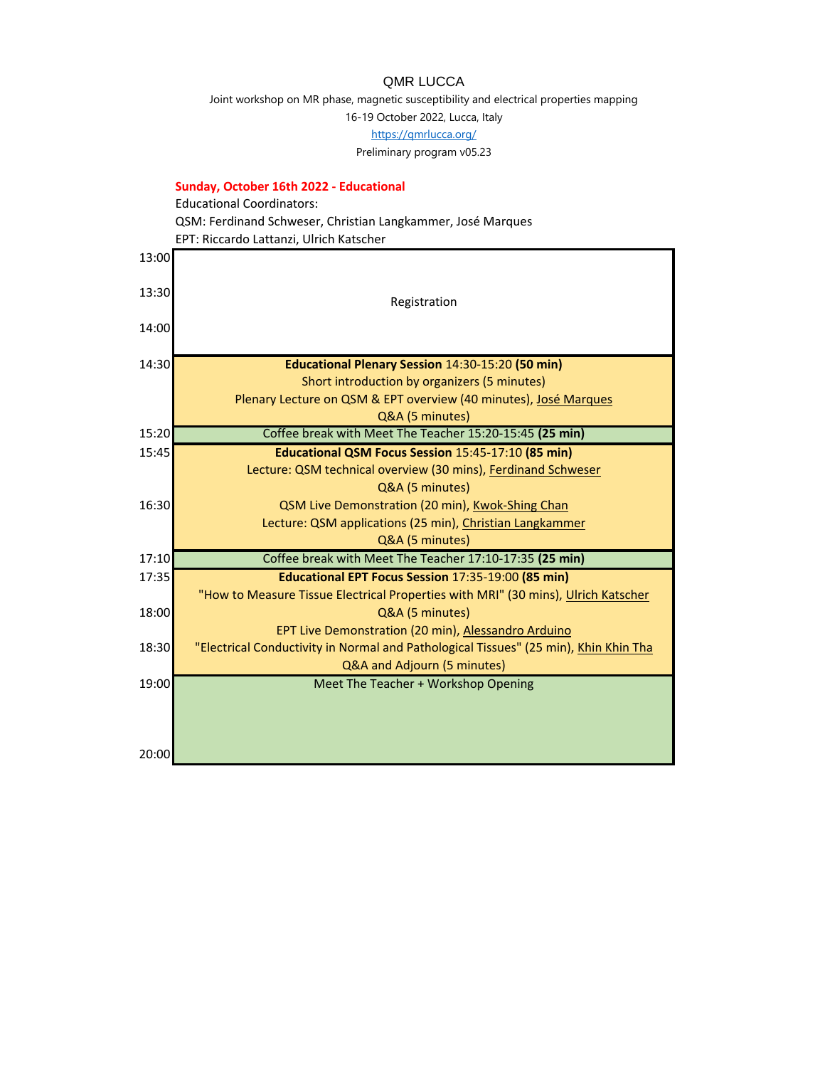## QMR LUCCA

Joint workshop on MR phase, magnetic susceptibility and electrical properties mapping

16-19 October 2022, Lucca, Italy

[https://qm](https://qmrlucca.org/)rlucca.org/

Preliminary program v05.23

## **Sunday, October 16th 2022 - Educational**

Educational Coordinators: QSM: Ferdinand Schweser, Christian Langkammer, José Marques

EPT: Riccardo Lattanzi, Ulrich Katscher

| 13:00 |                                                                                      |
|-------|--------------------------------------------------------------------------------------|
| 13:30 |                                                                                      |
|       | Registration                                                                         |
| 14:00 |                                                                                      |
| 14:30 | <b>Educational Plenary Session 14:30-15:20 (50 min)</b>                              |
|       | Short introduction by organizers (5 minutes)                                         |
|       | Plenary Lecture on QSM & EPT overview (40 minutes), José Marques                     |
|       | Q&A (5 minutes)                                                                      |
| 15:20 | Coffee break with Meet The Teacher 15:20-15:45 (25 min)                              |
| 15:45 | Educational QSM Focus Session 15:45-17:10 (85 min)                                   |
|       | Lecture: QSM technical overview (30 mins), Ferdinand Schweser                        |
|       | Q&A (5 minutes)                                                                      |
| 16:30 | QSM Live Demonstration (20 min), Kwok-Shing Chan                                     |
|       | Lecture: QSM applications (25 min), Christian Langkammer                             |
|       | Q&A (5 minutes)                                                                      |
| 17:10 | Coffee break with Meet The Teacher 17:10-17:35 (25 min)                              |
| 17:35 | Educational EPT Focus Session 17:35-19:00 (85 min)                                   |
|       | "How to Measure Tissue Electrical Properties with MRI" (30 mins), Ulrich Katscher    |
| 18:00 | Q&A (5 minutes)                                                                      |
|       | EPT Live Demonstration (20 min), Alessandro Arduino                                  |
| 18:30 | "Electrical Conductivity in Normal and Pathological Tissues" (25 min), Khin Khin Tha |
|       | Q&A and Adjourn (5 minutes)                                                          |
| 19:00 | Meet The Teacher + Workshop Opening                                                  |
|       |                                                                                      |
|       |                                                                                      |
|       |                                                                                      |
| 20:00 |                                                                                      |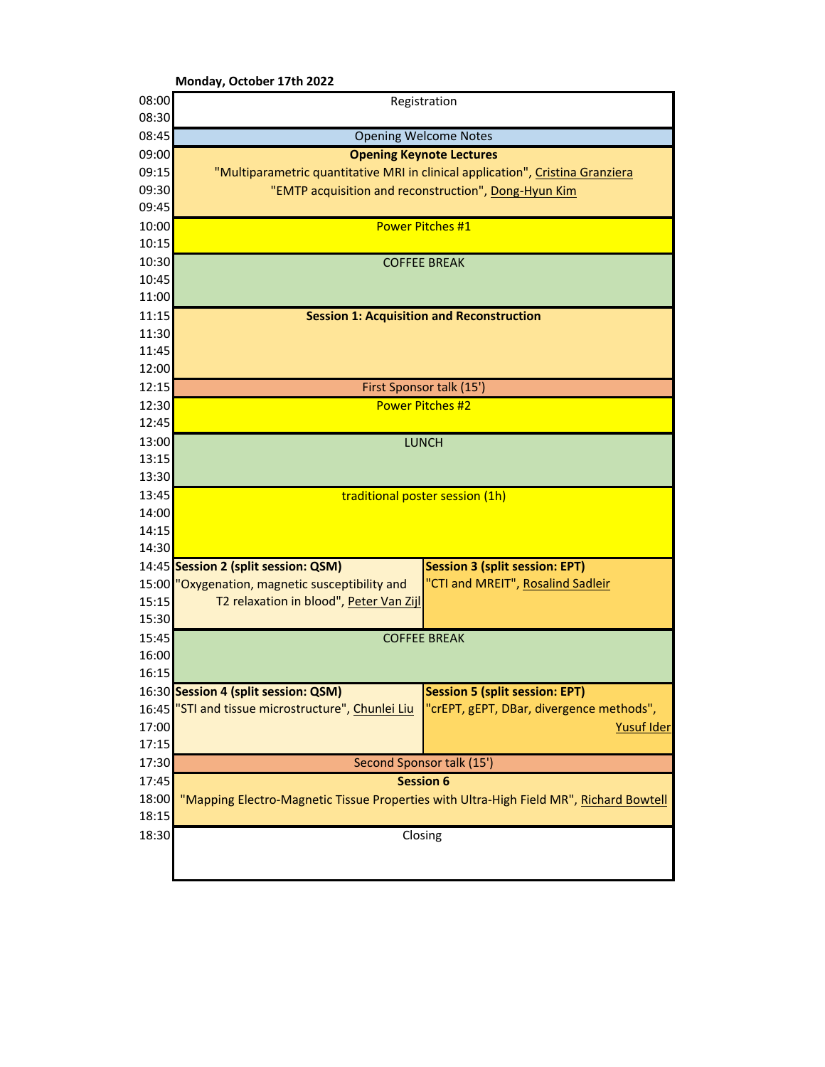|                | Monday, October 17th 2022                                                                                                 |
|----------------|---------------------------------------------------------------------------------------------------------------------------|
| 08:00          | Registration                                                                                                              |
| 08:30          |                                                                                                                           |
| 08:45          | <b>Opening Welcome Notes</b>                                                                                              |
| 09:00          | <b>Opening Keynote Lectures</b>                                                                                           |
| 09:15          | "Multiparametric quantitative MRI in clinical application", Cristina Granziera                                            |
| 09:30          | "EMTP acquisition and reconstruction", Dong-Hyun Kim                                                                      |
| 09:45          |                                                                                                                           |
| 10:00          | Power Pitches #1                                                                                                          |
| 10:15          |                                                                                                                           |
| 10:30          | <b>COFFEE BREAK</b>                                                                                                       |
| 10:45          |                                                                                                                           |
| 11:00          |                                                                                                                           |
| 11:15          | <b>Session 1: Acquisition and Reconstruction</b>                                                                          |
| 11:30          |                                                                                                                           |
| 11:45          |                                                                                                                           |
| 12:00          |                                                                                                                           |
| 12:15          | First Sponsor talk (15')                                                                                                  |
| 12:30          | <b>Power Pitches #2</b>                                                                                                   |
| 12:45          |                                                                                                                           |
| 13:00          | <b>LUNCH</b>                                                                                                              |
| 13:15          |                                                                                                                           |
| 13:30          |                                                                                                                           |
| 13:45          | traditional poster session (1h)                                                                                           |
| 14:00          |                                                                                                                           |
| 14:15          |                                                                                                                           |
| 14:30          |                                                                                                                           |
|                | <b>Session 3 (split session: EPT)</b><br>14:45 Session 2 (split session: QSM)                                             |
| 15:00          | "CTI and MREIT", Rosalind Sadleir<br>"Oxygenation, magnetic susceptibility and<br>T2 relaxation in blood", Peter Van Zijl |
| 15:15<br>15:30 |                                                                                                                           |
| 15:45          | <b>COFFEE BREAK</b>                                                                                                       |
| 16:00          |                                                                                                                           |
| 16:15          |                                                                                                                           |
|                | 16:30 Session 4 (split session: QSM)<br><b>Session 5 (split session: EPT)</b>                                             |
|                | 16:45 "STI and tissue microstructure", Chunlei Liu<br>"crEPT, gEPT, DBar, divergence methods",                            |
| 17:00          | Yusuf Ider                                                                                                                |
| 17:15          |                                                                                                                           |
| 17:30          | Second Sponsor talk (15')                                                                                                 |
| 17:45          | <b>Session 6</b>                                                                                                          |
| 18:00          | "Mapping Electro-Magnetic Tissue Properties with Ultra-High Field MR", Richard Bowtell                                    |
| 18:15          |                                                                                                                           |
| 18:30          | Closing                                                                                                                   |
|                |                                                                                                                           |
|                |                                                                                                                           |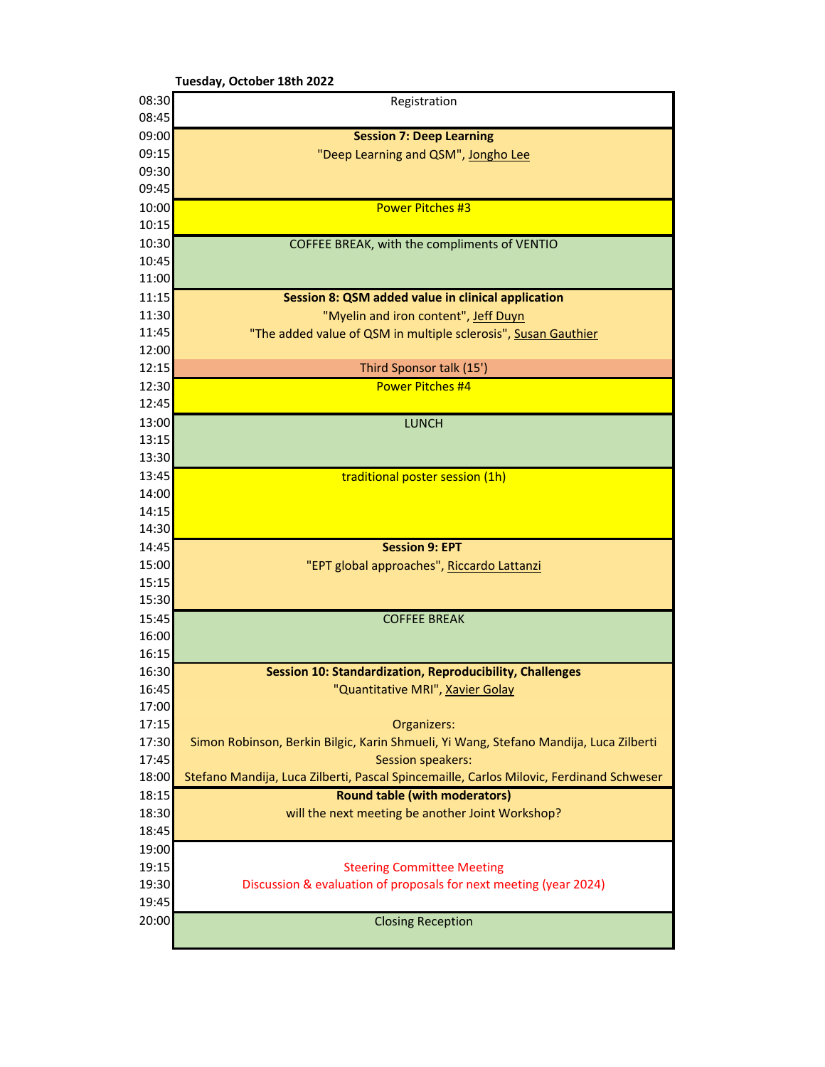|                | Tuesday, October 18th 2022                                                              |  |  |
|----------------|-----------------------------------------------------------------------------------------|--|--|
| 08:30          | Registration                                                                            |  |  |
| 08:45          |                                                                                         |  |  |
| 09:00          | <b>Session 7: Deep Learning</b>                                                         |  |  |
| 09:15          | "Deep Learning and QSM", Jongho Lee                                                     |  |  |
| 09:30          |                                                                                         |  |  |
| 09:45          |                                                                                         |  |  |
| 10:00          | <b>Power Pitches #3</b>                                                                 |  |  |
| 10:15          |                                                                                         |  |  |
| 10:30          | COFFEE BREAK, with the compliments of VENTIO                                            |  |  |
| 10:45          |                                                                                         |  |  |
| 11:00          |                                                                                         |  |  |
| 11:15          | Session 8: QSM added value in clinical application                                      |  |  |
| 11:30          | "Myelin and iron content", Jeff Duyn                                                    |  |  |
| 11:45          | "The added value of QSM in multiple sclerosis", Susan Gauthier                          |  |  |
| 12:00          |                                                                                         |  |  |
| 12:15          | Third Sponsor talk (15')                                                                |  |  |
| 12:30          | <b>Power Pitches #4</b>                                                                 |  |  |
| 12:45          |                                                                                         |  |  |
| 13:00          | <b>LUNCH</b>                                                                            |  |  |
| 13:15          |                                                                                         |  |  |
| 13:30          |                                                                                         |  |  |
| 13:45          | traditional poster session (1h)                                                         |  |  |
| 14:00          |                                                                                         |  |  |
| 14:15<br>14:30 |                                                                                         |  |  |
| 14:45          | <b>Session 9: EPT</b>                                                                   |  |  |
| 15:00          |                                                                                         |  |  |
| 15:15          | "EPT global approaches", Riccardo Lattanzi                                              |  |  |
| 15:30          |                                                                                         |  |  |
| 15:45          | <b>COFFEE BREAK</b>                                                                     |  |  |
| 16:00          |                                                                                         |  |  |
| 16:15          |                                                                                         |  |  |
| 16:30          | <b>Session 10: Standardization, Reproducibility, Challenges</b>                         |  |  |
| 16:45          | "Quantitative MRI", Xavier Golay                                                        |  |  |
| 17:00          |                                                                                         |  |  |
| 17:15          | Organizers:                                                                             |  |  |
| 17:30          | Simon Robinson, Berkin Bilgic, Karin Shmueli, Yi Wang, Stefano Mandija, Luca Zilberti   |  |  |
| 17:45          | <b>Session speakers:</b>                                                                |  |  |
| 18:00          | Stefano Mandija, Luca Zilberti, Pascal Spincemaille, Carlos Milovic, Ferdinand Schweser |  |  |
| 18:15          | <b>Round table (with moderators)</b>                                                    |  |  |
| 18:30          | will the next meeting be another Joint Workshop?                                        |  |  |
| 18:45          |                                                                                         |  |  |
| 19:00          |                                                                                         |  |  |
| 19:15          | <b>Steering Committee Meeting</b>                                                       |  |  |
| 19:30          | Discussion & evaluation of proposals for next meeting (year 2024)                       |  |  |
| 19:45          |                                                                                         |  |  |
| 20:00          | <b>Closing Reception</b>                                                                |  |  |
|                |                                                                                         |  |  |